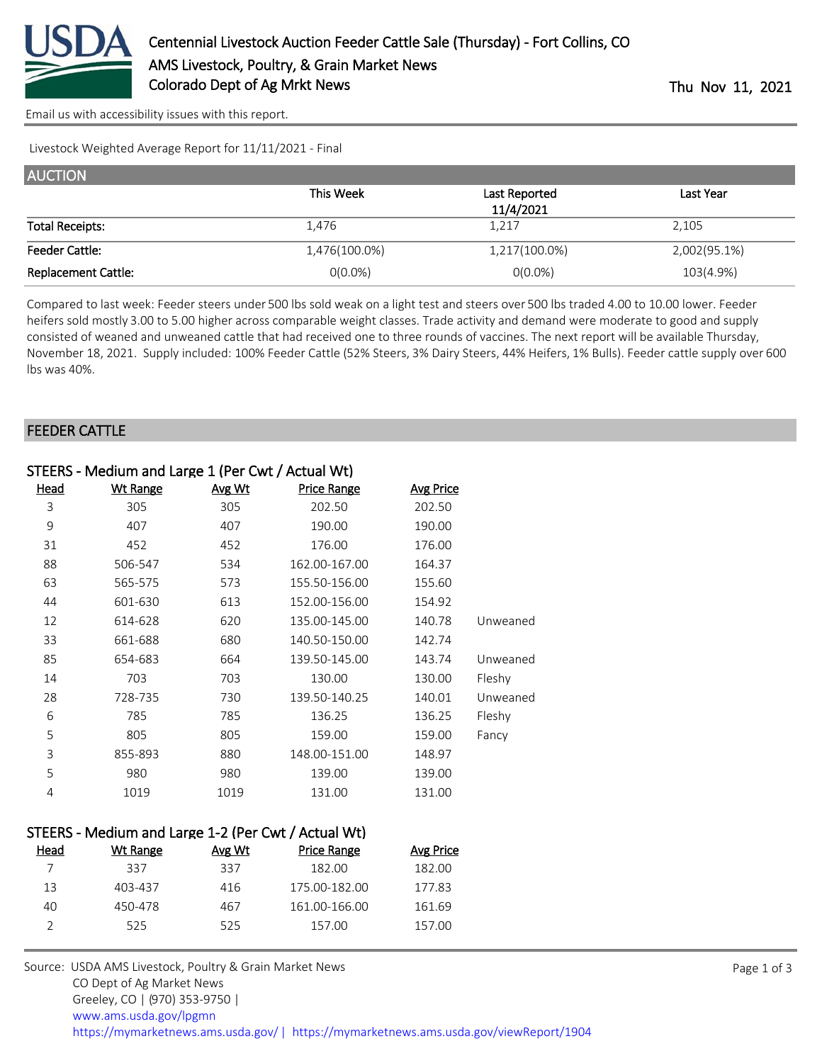

[Email us with accessibility issues with this report.](mailto:mars@ams.usda.gov?subject=508%20issue)

Livestock Weighted Average Report for 11/11/2021 - Final

| <b>AUCTION</b>             |               |               |              |  |  |
|----------------------------|---------------|---------------|--------------|--|--|
|                            | This Week     | Last Reported | Last Year    |  |  |
|                            |               | 11/4/2021     |              |  |  |
| <b>Total Receipts:</b>     | 1,476         | 1,217         | 2,105        |  |  |
| <b>Feeder Cattle:</b>      | 1,476(100.0%) | 1,217(100.0%) | 2,002(95.1%) |  |  |
| <b>Replacement Cattle:</b> | $0(0.0\%)$    | $0(0.0\%)$    | 103(4.9%)    |  |  |

Compared to last week: Feeder steers under 500 lbs sold weak on a light test and steers over 500 lbs traded 4.00 to 10.00 lower. Feeder heifers sold mostly 3.00 to 5.00 higher across comparable weight classes. Trade activity and demand were moderate to good and supply consisted of weaned and unweaned cattle that had received one to three rounds of vaccines. The next report will be available Thursday, November 18, 2021. Supply included: 100% Feeder Cattle (52% Steers, 3% Dairy Steers, 44% Heifers, 1% Bulls). Feeder cattle supply over 600 lbs was 40%.

## FEEDER CATTLE

| STEERS - Medium and Large 1 (Per Cwt / Actual Wt) |          |        |                    |                  |          |
|---------------------------------------------------|----------|--------|--------------------|------------------|----------|
| <u>Head</u>                                       | Wt Range | Avg Wt | <b>Price Range</b> | <b>Avg Price</b> |          |
| 3                                                 | 305      | 305    | 202.50             | 202.50           |          |
| 9                                                 | 407      | 407    | 190.00             | 190.00           |          |
| 31                                                | 452      | 452    | 176.00             | 176.00           |          |
| 88                                                | 506-547  | 534    | 162.00-167.00      | 164.37           |          |
| 63                                                | 565-575  | 573    | 155.50-156.00      | 155.60           |          |
| 44                                                | 601-630  | 613    | 152.00-156.00      | 154.92           |          |
| 12                                                | 614-628  | 620    | 135.00-145.00      | 140.78           | Unweaned |
| 33                                                | 661-688  | 680    | 140.50-150.00      | 142.74           |          |
| 85                                                | 654-683  | 664    | 139.50-145.00      | 143.74           | Unweaned |
| 14                                                | 703      | 703    | 130.00             | 130.00           | Fleshy   |
| 28                                                | 728-735  | 730    | 139.50-140.25      | 140.01           | Unweaned |
| 6                                                 | 785      | 785    | 136.25             | 136.25           | Fleshy   |
| 5                                                 | 805      | 805    | 159.00             | 159.00           | Fancy    |
| 3                                                 | 855-893  | 880    | 148.00-151.00      | 148.97           |          |
| 5                                                 | 980      | 980    | 139.00             | 139.00           |          |
| 4                                                 | 1019     | 1019   | 131.00             | 131.00           |          |

## STEERS - Medium and Large 1-2 (Per Cwt / Actual Wt)

| Head | Wt Range | Avg Wt | <b>Price Range</b> | Avg Price |
|------|----------|--------|--------------------|-----------|
|      | 337      | 337    | 182.00             | 182.00    |
| 13   | 403-437  | 416    | 175.00-182.00      | 177.83    |
| 40   | 450-478  | 467    | 161.00-166.00      | 161.69    |
|      | 525      | 525    | 157.00             | 157.00    |
|      |          |        |                    |           |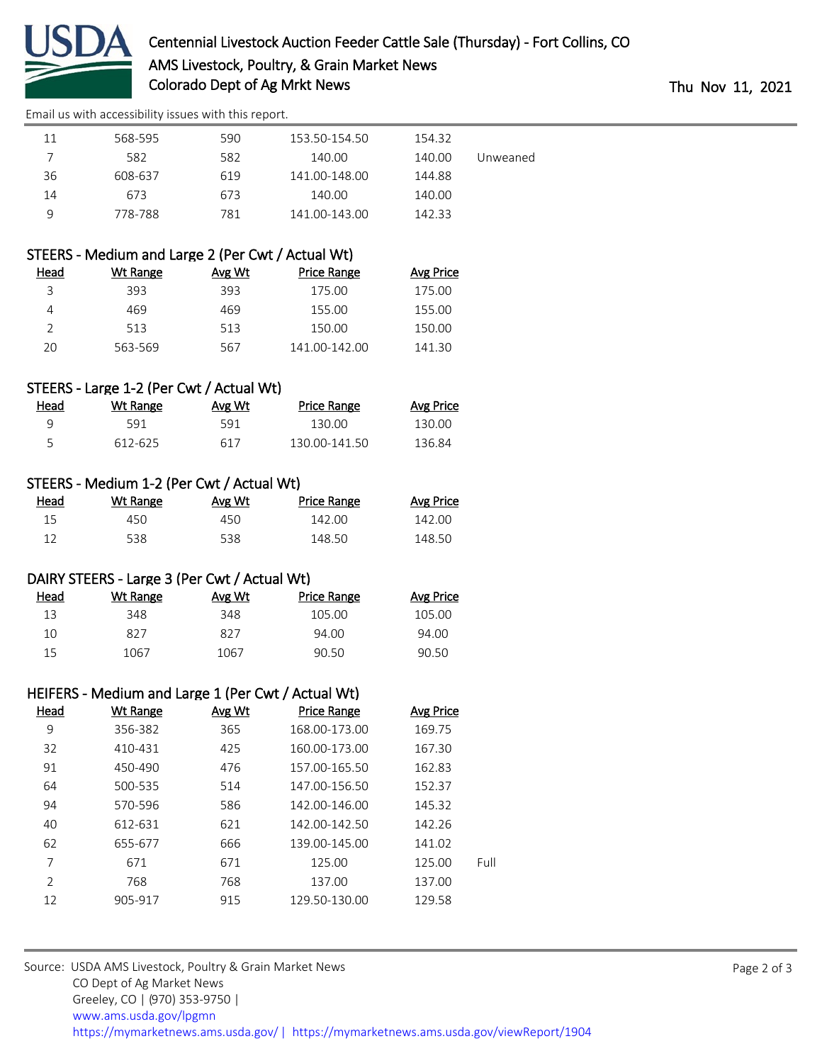

[Email us with accessibility issues with this report.](mailto:mars@ams.usda.gov?subject=508%20issue)

| 11             | 568-595                                            | 590    | 153.50-154.50      | 154.32           |          |
|----------------|----------------------------------------------------|--------|--------------------|------------------|----------|
| 7              | 582                                                | 582    | 140.00             | 140.00           | Unweaned |
| 36             | 608-637                                            | 619    | 141.00-148.00      | 144.88           |          |
| 14             | 673                                                | 673    | 140.00             | 140.00           |          |
| 9              | 778-788                                            | 781    | 141.00-143.00      | 142.33           |          |
|                |                                                    |        |                    |                  |          |
|                | STEERS - Medium and Large 2 (Per Cwt / Actual Wt)  |        |                    |                  |          |
| <u>Head</u>    | <b>Wt Range</b>                                    | Avg Wt | <b>Price Range</b> | <b>Avg Price</b> |          |
| 3              | 393                                                | 393    | 175.00             | 175.00           |          |
| 4              | 469                                                | 469    | 155.00             | 155.00           |          |
| $\overline{2}$ | 513                                                | 513    | 150.00             | 150.00           |          |
| 20             | 563-569                                            | 567    | 141.00-142.00      | 141.30           |          |
|                |                                                    |        |                    |                  |          |
|                | STEERS - Large 1-2 (Per Cwt / Actual Wt)           |        |                    |                  |          |
| <b>Head</b>    | <b>Wt Range</b>                                    | Avg Wt | <b>Price Range</b> | <b>Avg Price</b> |          |
| 9              | 591                                                | 591    | 130.00             | 130.00           |          |
| 5              | 612-625                                            | 617    | 130.00-141.50      | 136.84           |          |
|                |                                                    |        |                    |                  |          |
|                | STEERS - Medium 1-2 (Per Cwt / Actual Wt)          |        |                    |                  |          |
| <b>Head</b>    | <b>Wt Range</b>                                    | Avg Wt | <b>Price Range</b> | <b>Avg Price</b> |          |
| 15             | 450                                                | 450    | 142.00             | 142.00           |          |
| 12             | 538                                                | 538    | 148.50             | 148.50           |          |
|                |                                                    |        |                    |                  |          |
|                | DAIRY STEERS - Large 3 (Per Cwt / Actual Wt)       |        |                    |                  |          |
| <b>Head</b>    | <b>Wt Range</b>                                    | Avg Wt | <b>Price Range</b> | <b>Avg Price</b> |          |
| 13             | 348                                                | 348    | 105.00             | 105.00           |          |
| 10             | 827                                                | 827    | 94.00              | 94.00            |          |
| 15             | 1067                                               | 1067   | 90.50              | 90.50            |          |
|                |                                                    |        |                    |                  |          |
|                | HEIFERS - Medium and Large 1 (Per Cwt / Actual Wt) |        |                    |                  |          |
| <b>Head</b>    | <b>Wt Range</b>                                    | Avg Wt | <b>Price Range</b> | <b>Avg Price</b> |          |
| 9              | 356-382                                            | 365    | 168.00-173.00      | 169.75           |          |
| 32             | 410-431                                            | 425    | 160.00-173.00      | 167.30           |          |
| 91             | 450-490                                            | 476    | 157.00-165.50      | 162.83           |          |
| 64             | 500-535                                            | 514    | 147.00-156.50      | 152.37           |          |
| 94             | 570-596                                            | 586    | 142.00-146.00      | 145.32           |          |
| 40             | 612-631                                            | 621    | 142.00-142.50      | 142.26           |          |
| 62             | 655-677                                            | 666    | 139.00-145.00      | 141.02           |          |
| $\overline{7}$ | 671                                                | 671    | 125.00             | 125.00           | Full     |

2 768 768 137.00 137.00 12 905-917 915 129.50-130.00 129.58